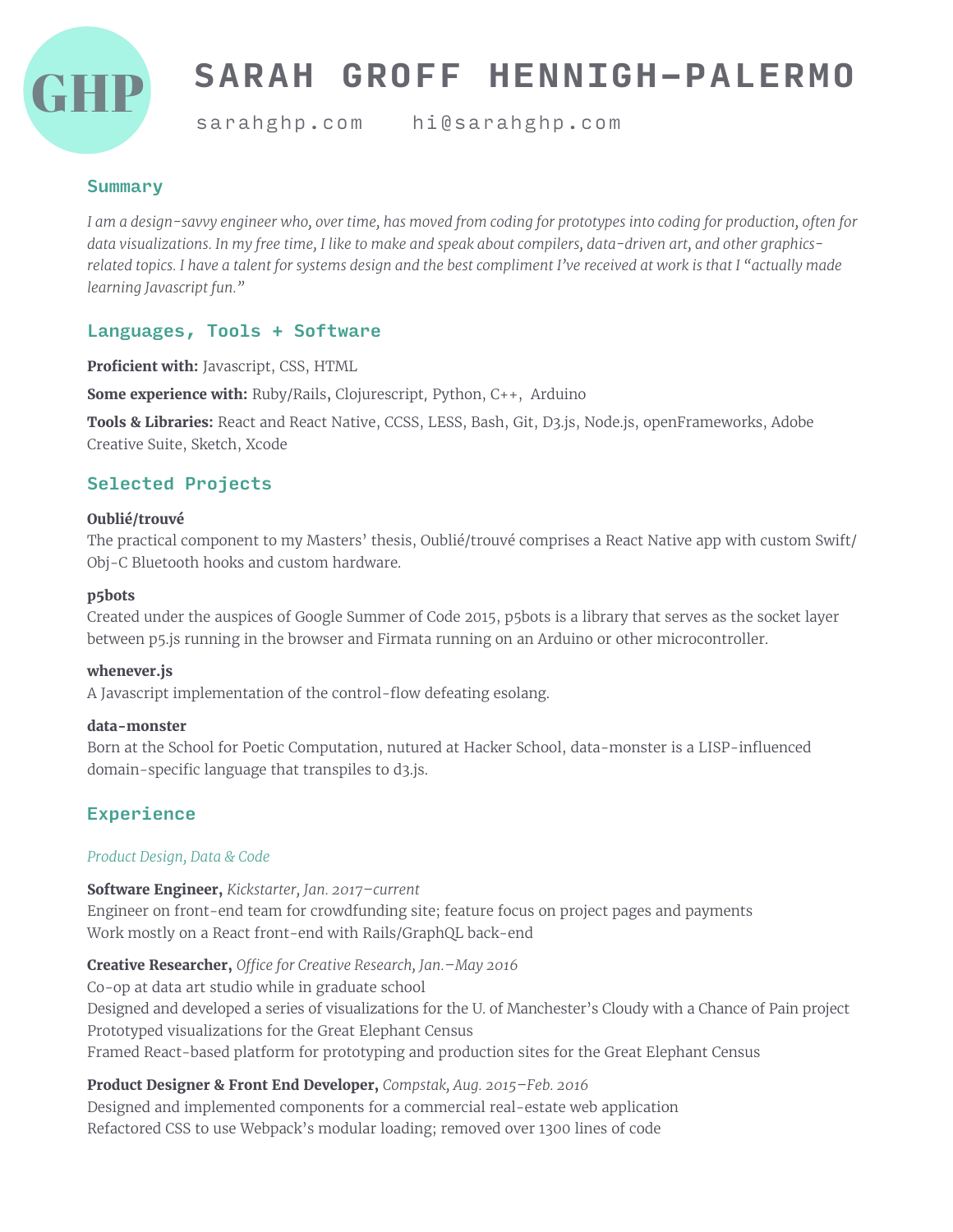

# **SARAH GROFF HENNIGH-PALERMO**

sarahghp.com hi@sarahghp.com

#### **Summary**

*I am a design-savvy engineer who, over time, has moved from coding for prototypes into coding for production, often for data visualizations. In my free time, I like to make and speak about compilers, data-driven art, and other graphicsrelated topics. I have a talent for systems design and the best compliment I've received at work is that I "actually made learning Javascript fun."*

## Languages, Tools + Software

**Proficient with:** Javascript, CSS, HTML

**Some experience with:** Ruby/Rails, Clojurescript, Python, C++, Arduino

**Tools & Libraries:** React and React Native, CCSS, LESS, Bash, Git, D3.js, Node.js, openFrameworks, Adobe Creative Suite, Sketch, Xcode

# Selected Projects

#### **Oublié/trouvé**

The practical component to my Masters' thesis, Oublié/trouvé comprises a React Native app with custom Swift/ Obj-C Bluetooth hooks and custom hardware.

#### **p5bots**

Created under the auspices of Google Summer of Code 2015, p5bots is a library that serves as the socket layer between p5.js running in the browser and Firmata running on an Arduino or other microcontroller.

#### **whenever.js**

A Javascript implementation of the control-flow defeating esolang.

#### **data-monster**

Born at the School for Poetic Computation, nutured at Hacker School, data-monster is a LISP-influenced domain-specific language that transpiles to d3.js.

# Experience

#### *Product Design, Data & Code*

#### **Software Engineer,** *Kickstarter, Jan. 2017–current*

Engineer on front-end team for crowdfunding site; feature focus on project pages and payments Work mostly on a React front-end with Rails/GraphQL back-end

**Creative Researcher,** *O!ce for Creative Research, Jan.–May 2016*

Co-op at data art studio while in graduate school Designed and developed a series of visualizations for the U. of Manchester's Cloudy with a Chance of Pain project Prototyped visualizations for the Great Elephant Census Framed React-based platform for prototyping and production sites for the Great Elephant Census

## **Product Designer & Front End Developer,** *Compstak, Aug. 2015–Feb. 2016*

Designed and implemented components for a commercial real-estate web application Refactored CSS to use Webpack's modular loading; removed over 1300 lines of code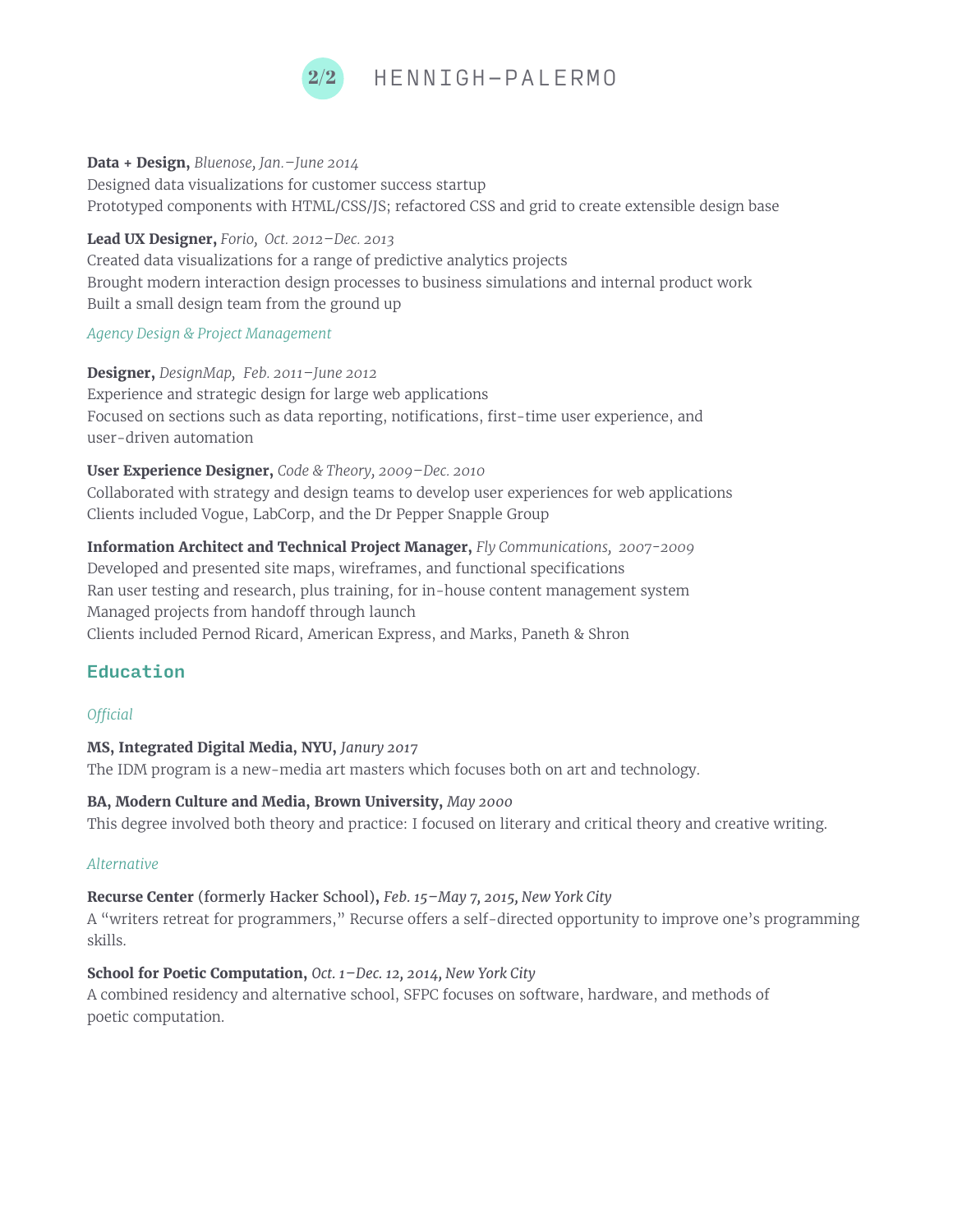

#### **Data + Design,** *Bluenose, Jan.–June 2014*

Designed data visualizations for customer success startup Prototyped components with HTML/CSS/JS; refactored CSS and grid to create extensible design base

#### **Lead UX Designer,** *Forio, Oct. 2012–Dec. 2013*

Created data visualizations for a range of predictive analytics projects Brought modern interaction design processes to business simulations and internal product work Built a small design team from the ground up

#### *Agency Design & Project Management*

**Designer,** *DesignMap,**Feb. 2011–June 2012* Experience and strategic design for large web applications Focused on sections such as data reporting, notifications, first-time user experience, and user-driven automation

**User Experience Designer,** *Code & Theory, 2009–Dec. 2010* Collaborated with strategy and design teams to develop user experiences for web applications Clients included Vogue, LabCorp, and the Dr Pepper Snapple Group

**Information Architect and Technical Project Manager,** *Fly Communications, 2007-2009* Developed and presented site maps, wireframes, and functional specifications Ran user testing and research, plus training, for in-house content management system Managed projects from handoff through launch Clients included Pernod Ricard, American Express, and Marks, Paneth & Shron

## Education

## *O!cial*

**MS, Integrated Digital Media, NYU,** *Janury 2017* 

The IDM program is a new-media art masters which focuses both on art and technology.

#### **BA, Modern Culture and Media, Brown University,** *May 2000*

This degree involved both theory and practice: I focused on literary and critical theory and creative writing.

## *Alternative*

**Recurse Center** (formerly Hacker School)**,** *Feb. 15–May 7, 2015, New York City* A "writers retreat for programmers," Recurse offers a self-directed opportunity to improve one's programming skills.

**School for Poetic Computation,** *Oct. 1–Dec. 12, 2014, New York City* A combined residency and alternative school, SFPC focuses on software, hardware, and methods of poetic computation.